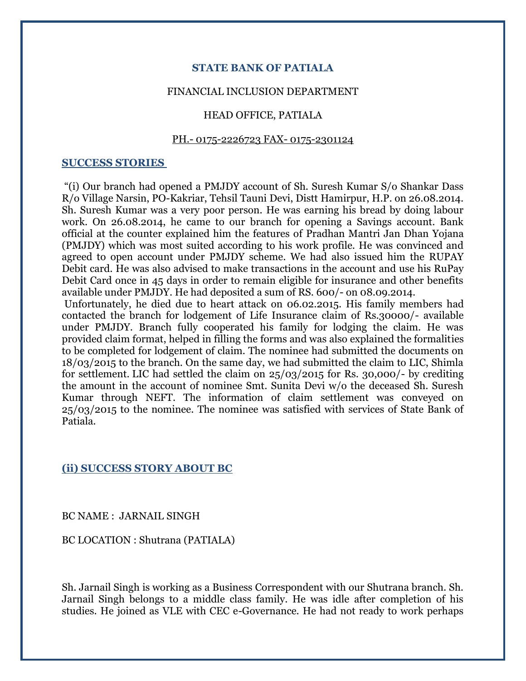# **STATE BANK OF PATIALA**

## FINANCIAL INCLUSION DEPARTMENT

# HEAD OFFICE, PATIALA

# PH.- 0175-2226723 FAX- 0175-2301124

#### **SUCCESS STORIES**

"(i) Our branch had opened a PMJDY account of Sh. Suresh Kumar S/o Shankar Dass R/o Village Narsin, PO-Kakriar, Tehsil Tauni Devi, Distt Hamirpur, H.P. on 26.08.2014. Sh. Suresh Kumar was a very poor person. He was earning his bread by doing labour work. On 26.08.2014, he came to our branch for opening a Savings account. Bank official at the counter explained him the features of Pradhan Mantri Jan Dhan Yojana (PMJDY) which was most suited according to his work profile. He was convinced and agreed to open account under PMJDY scheme. We had also issued him the RUPAY Debit card. He was also advised to make transactions in the account and use his RuPay Debit Card once in 45 days in order to remain eligible for insurance and other benefits available under PMJDY. He had deposited a sum of RS. 600/- on 08.09.2014.

Unfortunately, he died due to heart attack on 06.02.2015. His family members had contacted the branch for lodgement of Life Insurance claim of Rs.30000/- available under PMJDY. Branch fully cooperated his family for lodging the claim. He was provided claim format, helped in filling the forms and was also explained the formalities to be completed for lodgement of claim. The nominee had submitted the documents on 18/03/2015 to the branch. On the same day, we had submitted the claim to LIC, Shimla for settlement. LIC had settled the claim on 25/03/2015 for Rs. 30,000/- by crediting the amount in the account of nominee Smt. Sunita Devi w/o the deceased Sh. Suresh Kumar through NEFT. The information of claim settlement was conveyed on 25/03/2015 to the nominee. The nominee was satisfied with services of State Bank of Patiala.

## **(ii) SUCCESS STORY ABOUT BC**

#### BC NAME : JARNAIL SINGH

BC LOCATION : Shutrana (PATIALA)

Sh. Jarnail Singh is working as a Business Correspondent with our Shutrana branch. Sh. Jarnail Singh belongs to a middle class family. He was idle after completion of his studies. He joined as VLE with CEC e-Governance. He had not ready to work perhaps